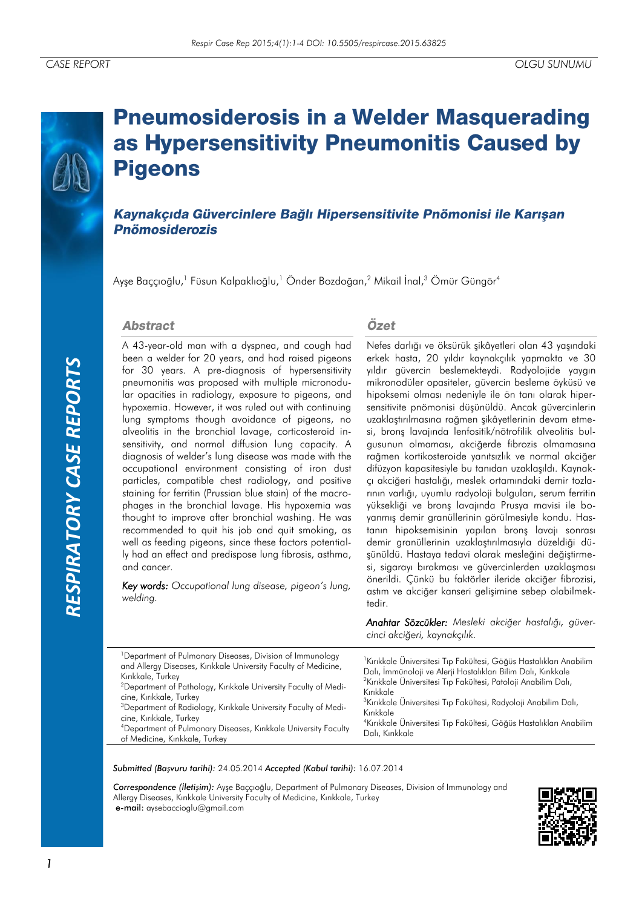# *RESPIRATORY CASE REPORTS*RESPIRATORY CASE REPORTS

# **Pneumosiderosis in a Welder Masquerading** as Hypersensitivity Pneumonitis Caused by **Pigeons**

Kaynakçıda Güvercinlere Bağlı Hipersensitivite Pnömonisi ile Karışan **Pnömosiderozis** 

Ayşe Baççıoğlu,<sup>1</sup> Füsun Kalpaklıoğlu,<sup>1</sup> Önder Bozdoğan,<sup>2</sup> Mikail İnal,<sup>3</sup> Ömür Güngör<sup>4</sup>

### **Abstract**

A 43-year-old man with a dyspnea, and cough had been a welder for 20 years, and had raised pigeons for 30 years. A pre-diagnosis of hypersensitivity pneumonitis was proposed with multiple micronodular opacities in radiology, exposure to pigeons, and hypoxemia. However, it was ruled out with continuing lung symptoms though avoidance of pigeons, no alveolitis in the bronchial lavage, corticosteroid insensitivity, and normal diffusion lung capacity. A diagnosis of welder's lung disease was made with the occupational environment consisting of iron dust particles, compatible chest radiology, and positive staining for ferritin (Prussian blue stain) of the macrophages in the bronchial lavage. His hypoxemia was thought to improve after bronchial washing. He was recommended to quit his job and quit smoking, as well as feeding pigeons, since these factors potentially had an effect and predispose lung fibrosis, asthma, and cancer.

*Key words: Occupational lung disease, pigeon's lung, welding.*

## Özet

Nefes darlığı ve öksürük şikâyetleri olan 43 yaşındaki erkek hasta, 20 yıldır kaynakçılık yapmakta ve 30 yıldır güvercin beslemekteydi. Radyolojide yaygın mikronodüler opasiteler, güvercin besleme öyküsü ve hipoksemi olması nedeniyle ile ön tanı olarak hipersensitivite pnömonisi düşünüldü. Ancak güvercinlerin uzaklaştırılmasına rağmen şikâyetlerinin devam etmesi, bronş lavajında lenfositik/nötrofilik alveolitis bulgusunun olmaması, akciğerde fibrozis olmamasına rağmen kortikosteroide yanıtsızlık ve normal akciğer difüzyon kapasitesiyle bu tanıdan uzaklaşıldı. Kaynakçı akciğeri hastalığı, meslek ortamındaki demir tozlarının varlığı, uyumlu radyoloji bulguları, serum ferritin yüksekliği ve bronş lavajında Prusya mavisi ile boyanmış demir granüllerinin görülmesiyle kondu. Hastanın hipoksemisinin yapılan bronş lavajı sonrası demir granüllerinin uzaklaştırılmasıyla düzeldiği düşünüldü. Hastaya tedavi olarak mesleğini değiştirmesi, sigarayı bırakması ve güvercinlerden uzaklaşması önerildi. Çünkü bu faktörler ileride akciğer fibrozisi, astım ve akciğer kanseri gelişimine sebep olabilmektedir.

*Anahtar Sözcükler: Mesleki akciğer hastalığı, güvercinci akciğeri, kaynakçılık.* 

| <sup>1</sup> Department of Pulmonary Diseases, Division of Immunology<br>and Allergy Diseases, Kırıkkale University Faculty of Medicine,<br>Kırıkkale, Turkey<br><sup>2</sup> Department of Pathology, Kirikkale University Faculty of Medi-<br>cine, Kırıkkale, Turkey<br><sup>3</sup> Department of Radiology, Kırıkkale University Faculty of Medi-<br>cine, Kırıkkale, Turkey<br><sup>4</sup> Department of Pulmonary Diseases, Kirikkale University Faculty<br>of Medicine, Kırıkkale, Turkey | <sup>1</sup> Kırıkkale Üniversitesi Tıp Fakültesi, Göğüs Hastalıkları Anabilim<br>Dalı, İmmünoloji ve Alerji Hastalıkları Bilim Dalı, Kırıkkale<br><sup>2</sup> Kırıkkale Üniversitesi Tıp Fakültesi, Patoloji Anabilim Dalı,<br>Kırıkkale<br><sup>3</sup> Kırıkkale Üniversitesi Tıp Fakültesi, Radyoloji Anabilim Dalı,<br>Kırıkkale<br><sup>4</sup> Kırıkkale Üniversitesi Tıp Fakültesi, Göğüs Hastalıkları Anabilim<br>Dalı, Kırıkkale |
|----------------------------------------------------------------------------------------------------------------------------------------------------------------------------------------------------------------------------------------------------------------------------------------------------------------------------------------------------------------------------------------------------------------------------------------------------------------------------------------------------|---------------------------------------------------------------------------------------------------------------------------------------------------------------------------------------------------------------------------------------------------------------------------------------------------------------------------------------------------------------------------------------------------------------------------------------------|
|----------------------------------------------------------------------------------------------------------------------------------------------------------------------------------------------------------------------------------------------------------------------------------------------------------------------------------------------------------------------------------------------------------------------------------------------------------------------------------------------------|---------------------------------------------------------------------------------------------------------------------------------------------------------------------------------------------------------------------------------------------------------------------------------------------------------------------------------------------------------------------------------------------------------------------------------------------|

*Submitted (Başvuru tarihi):* 24.05.2014 *Accepted (Kabul tarihi):* 16.07.2014

*Correspondence (İletişim):* Ayşe Baççıoğlu, Department of Pulmonary Diseases, Division of Immunology and Allergy Diseases, Kırıkkale University Faculty of Medicine, Kırıkkale, Turkey e-mail: aysebaccioglu@gmail.com

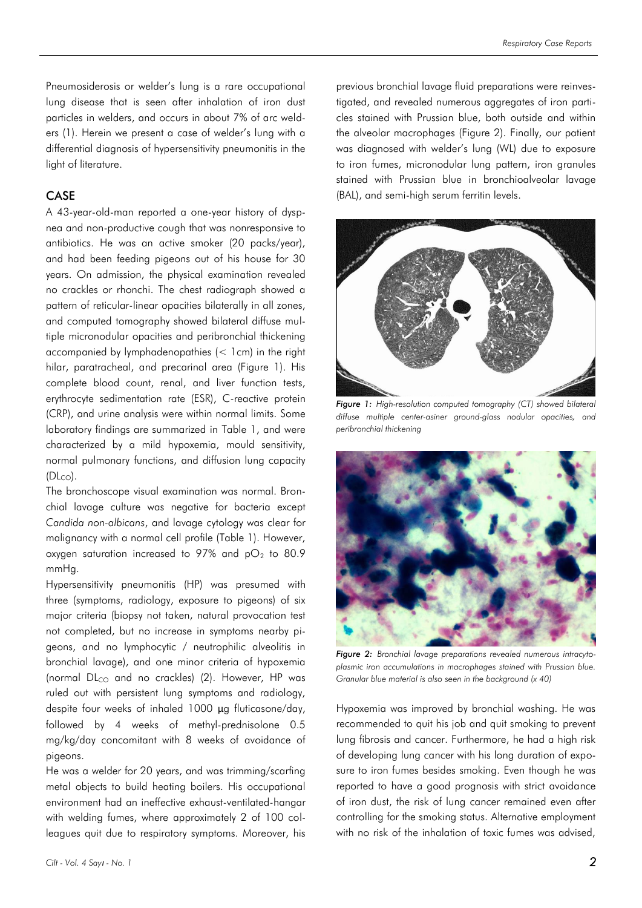Pneumosiderosis or welder's lung is a rare occupational lung disease that is seen after inhalation of iron dust particles in welders, and occurs in about 7% of arc welders (1). Herein we present a case of welder's lung with a differential diagnosis of hypersensitivity pneumonitis in the light of literature.

### CASE

A 43-year-old-man reported a one-year history of dyspnea and non-productive cough that was nonresponsive to antibiotics. He was an active smoker (20 packs/year), and had been feeding pigeons out of his house for 30 years. On admission, the physical examination revealed no crackles or rhonchi. The chest radiograph showed a pattern of reticular-linear opacities bilaterally in all zones, and computed tomography showed bilateral diffuse multiple micronodular opacities and peribronchial thickening accompanied by lymphadenopathies (< 1cm) in the right hilar, paratracheal, and precarinal area (Figure 1). His complete blood count, renal, and liver function tests, erythrocyte sedimentation rate (ESR), C-reactive protein (CRP), and urine analysis were within normal limits. Some laboratory findings are summarized in Table 1, and were characterized by a mild hypoxemia, mould sensitivity, normal pulmonary functions, and diffusion lung capacity  $(DL_{CO})$ .

The bronchoscope visual examination was normal. Bronchial lavage culture was negative for bacteria except *Candida non-albicans*, and lavage cytology was clear for malignancy with a normal cell profile (Table 1). However, oxygen saturation increased to 97% and  $pO<sub>2</sub>$  to 80.9 mmHg.

Hypersensitivity pneumonitis (HP) was presumed with three (symptoms, radiology, exposure to pigeons) of six major criteria (biopsy not taken, natural provocation test not completed, but no increase in symptoms nearby pigeons, and no lymphocytic / neutrophilic alveolitis in bronchial lavage), and one minor criteria of hypoxemia (normal  $DL_{CO}$  and no crackles) (2). However, HP was ruled out with persistent lung symptoms and radiology, despite four weeks of inhaled 1000 μg fluticasone/day, followed by 4 weeks of methyl-prednisolone 0.5 mg/kg/day concomitant with 8 weeks of avoidance of pigeons.

He was a welder for 20 years, and was trimming/scarfing metal objects to build heating boilers. His occupational environment had an ineffective exhaust-ventilated-hangar with welding fumes, where approximately 2 of 100 colleagues quit due to respiratory symptoms. Moreover, his

previous bronchial lavage fluid preparations were reinvestigated, and revealed numerous aggregates of iron particles stained with Prussian blue, both outside and within the alveolar macrophages (Figure 2). Finally, our patient was diagnosed with welder's lung (WL) due to exposure to iron fumes, micronodular lung pattern, iron granules stained with Prussian blue in bronchioalveolar lavage (BAL), and semi-high serum ferritin levels.



*Figure 1: High-resolution computed tomography (CT) showed bilateral diffuse multiple center-asiner ground-glass nodular opacities, and peribronchial thickening*



*Figure 2: Bronchial lavage preparations revealed numerous intracytoplasmic iron accumulations in macrophages stained with Prussian blue. Granular blue material is also seen in the background (x 40)*

Hypoxemia was improved by bronchial washing. He was recommended to quit his job and quit smoking to prevent lung fibrosis and cancer. Furthermore, he had a high risk of developing lung cancer with his long duration of exposure to iron fumes besides smoking. Even though he was reported to have a good prognosis with strict avoidance of iron dust, the risk of lung cancer remained even after controlling for the smoking status. Alternative employment with no risk of the inhalation of toxic fumes was advised,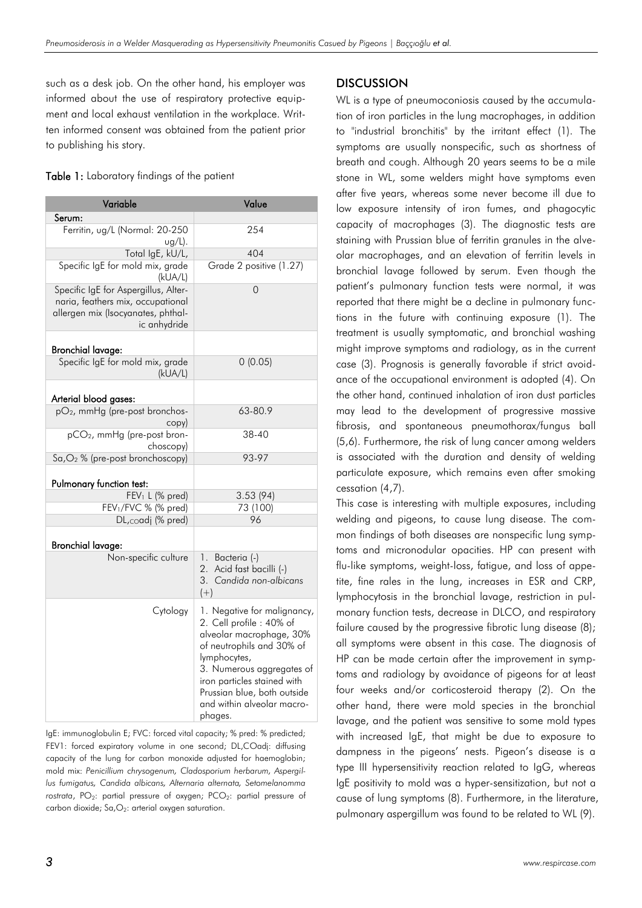such as a desk job. On the other hand, his employer was informed about the use of respiratory protective equipment and local exhaust ventilation in the workplace. Written informed consent was obtained from the patient prior to publishing his story.

| Table 1: Laboratory findings of the patient |  |  |  |
|---------------------------------------------|--|--|--|
|---------------------------------------------|--|--|--|

| Variable                                                                                                                        | Value                                                                                                                                                                                                                                                                |  |
|---------------------------------------------------------------------------------------------------------------------------------|----------------------------------------------------------------------------------------------------------------------------------------------------------------------------------------------------------------------------------------------------------------------|--|
| Serum:                                                                                                                          |                                                                                                                                                                                                                                                                      |  |
| Ferritin, ug/L (Normal: 20-250<br>$ug/L$ ).                                                                                     | 254                                                                                                                                                                                                                                                                  |  |
| Total IgE, kU/L,                                                                                                                | 404                                                                                                                                                                                                                                                                  |  |
| Specific IgE for mold mix, grade<br>(kUA/L)                                                                                     | Grade 2 positive (1.27)                                                                                                                                                                                                                                              |  |
| Specific IgE for Aspergillus, Alter-<br>naria, feathers mix, occupational<br>allergen mix (Isocyanates, phthal-<br>ic anhydride | 0                                                                                                                                                                                                                                                                    |  |
| <b>Bronchial lavage:</b>                                                                                                        |                                                                                                                                                                                                                                                                      |  |
| Specific IgE for mold mix, grade<br>(kUA/L)                                                                                     | 0(0.05)                                                                                                                                                                                                                                                              |  |
| Arterial blood gases:                                                                                                           |                                                                                                                                                                                                                                                                      |  |
| pO <sub>2</sub> , mmHg (pre-post bronchos-<br>copy)                                                                             | 63-80.9                                                                                                                                                                                                                                                              |  |
| pCO <sub>2</sub> , mmHg (pre-post bron-<br>choscopy)                                                                            | 38-40                                                                                                                                                                                                                                                                |  |
| Sa, O <sub>2</sub> % (pre-post bronchoscopy)                                                                                    | 93-97                                                                                                                                                                                                                                                                |  |
| Pulmonary function test:                                                                                                        |                                                                                                                                                                                                                                                                      |  |
| FEV <sub>1</sub> L (% pred)                                                                                                     | 3.53(94)                                                                                                                                                                                                                                                             |  |
| FEV <sub>1</sub> /FVC % (% pred)                                                                                                | 73 (100)                                                                                                                                                                                                                                                             |  |
| DL,coadj (% pred)                                                                                                               | 96                                                                                                                                                                                                                                                                   |  |
| <b>Bronchial lavage:</b>                                                                                                        |                                                                                                                                                                                                                                                                      |  |
| Non-specific culture                                                                                                            | 1. Bacteria (-)<br>2. Acid fast bacilli (-)<br>3. Candida non-albicans<br>$(+)$                                                                                                                                                                                      |  |
| Cytology                                                                                                                        | 1. Negative for malignancy,<br>2. Cell profile : 40% of<br>alveolar macrophage, 30%<br>of neutrophils and 30% of<br>lymphocytes,<br>3. Numerous aggregates of<br>iron particles stained with<br>Prussian blue, both outside<br>and within alveolar macro-<br>phages. |  |

IgE: immunoglobulin E; FVC: forced vital capacity; % pred: % predicted; FEV1: forced expiratory volume in one second; DL,COadj: diffusing capacity of the lung for carbon monoxide adjusted for haemoglobin; mold mix: *Penicillium chrysogenum, Cladosporium herbarum, Aspergillus fumigatus, Candida albicans, Alternaria alternata, Setomelanomma*  rostrata, PO<sub>2</sub>: partial pressure of oxygen; PCO<sub>2</sub>: partial pressure of carbon dioxide;  $Sa, O_2$ : arterial oxygen saturation.

### **DISCUSSION**

WL is a type of pneumoconiosis caused by the accumulation of iron particles in the lung macrophages, in addition to "industrial bronchitis" by the irritant effect (1). The symptoms are usually nonspecific, such as shortness of breath and cough. Although 20 years seems to be a mile stone in WL, some welders might have symptoms even after five years, whereas some never become ill due to low exposure intensity of iron fumes, and phagocytic capacity of macrophages (3). The diagnostic tests are staining with Prussian blue of ferritin granules in the alveolar macrophages, and an elevation of ferritin levels in bronchial lavage followed by serum. Even though the patient's pulmonary function tests were normal, it was reported that there might be a decline in pulmonary functions in the future with continuing exposure (1). The treatment is usually symptomatic, and bronchial washing might improve symptoms and radiology, as in the current case (3). Prognosis is generally favorable if strict avoidance of the occupational environment is adopted (4). On the other hand, continued inhalation of iron dust particles may lead to the development of progressive massive fibrosis, and spontaneous pneumothorax/fungus ball (5,6). Furthermore, the risk of lung cancer among welders is associated with the duration and density of welding particulate exposure, which remains even after smoking cessation (4,7).

This case is interesting with multiple exposures, including welding and pigeons, to cause lung disease. The common findings of both diseases are nonspecific lung symptoms and micronodular opacities. HP can present with flu-like symptoms, weight-loss, fatigue, and loss of appetite, fine rales in the lung, increases in ESR and CRP, lymphocytosis in the bronchial lavage, restriction in pulmonary function tests, decrease in DLCO, and respiratory failure caused by the progressive fibrotic lung disease (8); all symptoms were absent in this case. The diagnosis of HP can be made certain after the improvement in symptoms and radiology by avoidance of pigeons for at least four weeks and/or corticosteroid therapy (2). On the other hand, there were mold species in the bronchial lavage, and the patient was sensitive to some mold types with increased IgE, that might be due to exposure to dampness in the pigeons' nests. Pigeon's disease is a type III hypersensitivity reaction related to IgG, whereas IgE positivity to mold was a hyper-sensitization, but not a cause of lung symptoms (8). Furthermore, in the literature, pulmonary aspergillum was found to be related to WL (9).